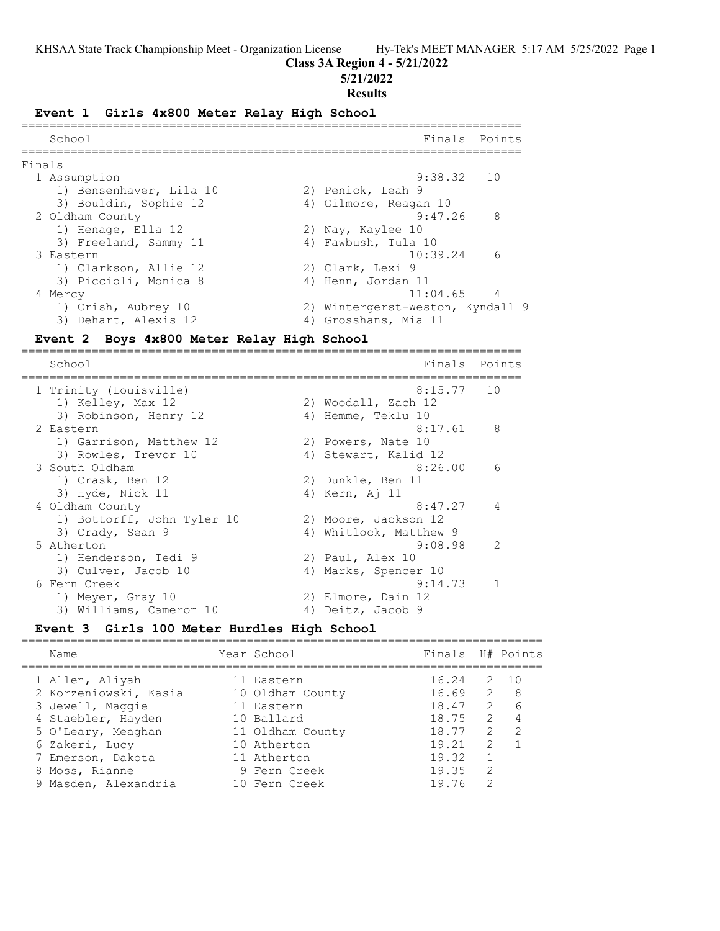==========================================================================

### **Class 3A Region 4 - 5/21/2022**

**5/21/2022**

#### **Results**

#### **Event 1 Girls 4x800 Meter Relay High School**

| School                  | Finals Points                    |
|-------------------------|----------------------------------|
| Finals                  |                                  |
| 1 Assumption            | $9:38.32$ 10                     |
| 1) Bensenhaver, Lila 10 | 2) Penick, Leah 9                |
| 3) Bouldin, Sophie 12   | 4) Gilmore, Reagan 10            |
| 2 Oldham County         | -8<br>9:47.26                    |
| 1) Henage, Ella 12      | 2) Nay, Kaylee 10                |
| 3) Freeland, Sammy 11   | 4) Fawbush, Tula 10              |
| 3 Eastern               | 6<br>10:39.24                    |
| 1) Clarkson, Allie 12   | 2) Clark, Lexi 9                 |
| 3) Piccioli, Monica 8   | 4) Henn, Jordan 11               |
| 4 Mercy                 | $11:04.65$ 4                     |
| 1) Crish, Aubrey 10     | 2) Wintergerst-Weston, Kyndall 9 |
| 3) Dehart, Alexis 12    | 4) Grosshans, Mia 11             |

### **Event 2 Boys 4x800 Meter Relay High School**

======================================================================= Finals Points ======================================================================= 1 Trinity (Louisville) 8:15.77 10 1) Kelley, Max 12 2) Woodall, Zach 12 3) Robinson, Henry 12 (4) Hemme, Teklu 10 2 Eastern 8:17.61 8 1) Garrison, Matthew 12 2) Powers, Nate 10 3) Rowles, Trevor 10 (4) Stewart, Kalid 12 3 South Oldham 8:26.00 6 1) Crask, Ben 12 2) Dunkle, Ben 11 3) Hyde, Nick 11 4) Kern, Aj 11 4 Oldham County 8:47.27 4 1) Bottorff, John Tyler 10 2) Moore, Jackson 12 3) Crady, Sean 9 4) Whitlock, Matthew 9 5 Atherton 9:08.98 2 1) Henderson, Tedi 9 2) Paul, Alex 10 3) Culver, Jacob 10 (4) Marks, Spencer 10 6 Fern Creek 9:14.73 1 1) Meyer, Gray 10 2) Elmore, Dain 12 3) Williams, Cameron 10 (4) Deitz, Jacob 9

### **Event 3 Girls 100 Meter Hurdles High School**

| Name                  | Year School      | Finals H# Points |                |                |
|-----------------------|------------------|------------------|----------------|----------------|
| 1 Allen, Aliyah       | 11 Eastern       | 16.24            |                | $2 \quad 10$   |
| 2 Korzeniowski, Kasia | 10 Oldham County | 16.69            | $\overline{2}$ | - 8            |
| 3 Jewell, Maggie      | 11 Eastern       | 18.47            | 2              | 6              |
| 4 Staebler, Hayden    | 10 Ballard       | 18.75            | $\overline{2}$ | $\overline{4}$ |
| 5 O'Leary, Meaghan    | 11 Oldham County | 18.77            | 2              | 2              |
| 6 Zakeri, Lucy        | 10 Atherton      | 19.21            | $\mathcal{P}$  |                |
| 7 Emerson, Dakota     | 11 Atherton      | 19.32            |                |                |
| 8 Moss, Rianne        | 9 Fern Creek     | 19.35            | 2              |                |
| 9 Masden, Alexandria  | 10 Fern Creek    | 19.76            | 2              |                |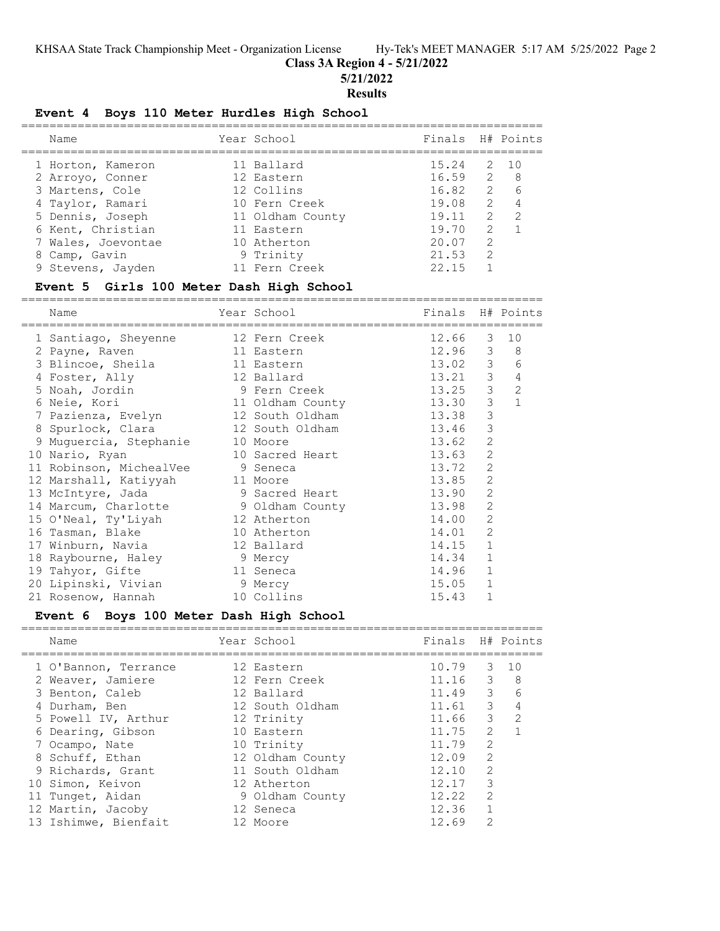**Class 3A Region 4 - 5/21/2022**

**5/21/2022**

### **Results**

### **Event 4 Boys 110 Meter Hurdles High School**

| Name               | Year School      | Finals H# Points |               |    |
|--------------------|------------------|------------------|---------------|----|
| 1 Horton, Kameron  | 11 Ballard       | 15.24            | 2             | 10 |
| 2 Arroyo, Conner   | 12 Eastern       | $16.59$ 2 8      |               |    |
| 3 Martens, Cole    | 12 Collins       | 16.82            | 2             |    |
| 4 Taylor, Ramari   | 10 Fern Creek    | 19.08            | 2             |    |
| 5 Dennis, Joseph   | 11 Oldham County | 19.11            | 2             | 2  |
| 6 Kent, Christian  | 11 Eastern       | 19.70            | $\mathcal{L}$ |    |
| 7 Wales, Joevontae | 10 Atherton      | 20.07            | $\mathcal{L}$ |    |
| 8 Camp, Gavin      | 9 Trinity        | 21.53            | $\mathcal{L}$ |    |
| 9 Stevens, Jayden  | 11 Fern Creek    | 22.15            |               |    |
|                    |                  |                  |               |    |

### **Event 5 Girls 100 Meter Dash High School**

==========================================================================

| Name                                 | Year School      | Finals H# Points |                         |                |
|--------------------------------------|------------------|------------------|-------------------------|----------------|
| 1 Santiago, Sheyenne                 | 12 Fern Creek    | 12.66            | $\mathcal{S}$           | 10             |
| 2 Payne, Raven                       | 11 Eastern       | 12.96 3 8        |                         |                |
| 3 Blincoe, Sheila                    | 11 Eastern       | 13.02 3          |                         | 6              |
| 4 Foster, Ally                       | 12 Ballard       | 13.21            | $\mathcal{S}$           | $\sqrt{4}$     |
| 5 Noah, Jordin                       | 9 Fern Creek     | 13.25            | $\overline{\mathbf{3}}$ | $\overline{c}$ |
| 6 Neie, Kori                         | 11 Oldham County | 13.30            | 3                       | $\mathbf{1}$   |
| 7 Pazienza, Evelyn                   | 12 South Oldham  | 13.38            | $\mathfrak{Z}$          |                |
| 8 Spurlock, Clara                    | 12 South Oldham  | 13.46            | $\mathcal{S}$           |                |
| 9 Muguercia, Stephanie               | 10 Moore         | 13.62            | $\mathbf{2}$            |                |
| 10 Nario, Ryan                       | 10 Sacred Heart  | 13.63            | $\overline{2}$          |                |
| 11 Robinson, MichealVee              | 9 Seneca         | 13.72            | 2                       |                |
| 12 Marshall, Katiyyah                | 11 Moore         | 13.85            | 2                       |                |
| 13 McIntyre, Jada                    | 9 Sacred Heart   | 13.90            | 2                       |                |
| 14 Marcum, Charlotte 9 Oldham County |                  | 13.98            | 2                       |                |
| 15 O'Neal, Ty'Liyah                  | 12 Atherton      | 14.00            | 2                       |                |
| 16 Tasman, Blake                     | 10 Atherton      | 14.01            | 2                       |                |
| 17 Winburn, Navia                    | 12 Ballard       | 14.15            | $\mathbf{1}$            |                |
| 18 Raybourne, Haley 9 Mercy          |                  | 14.34            | $\mathbf{1}$            |                |
| 19 Tahyor, Gifte                     | 11 Seneca        | 14.96            | $\mathbf{1}$            |                |
| 20 Lipinski, Vivian                  | 9 Mercy          | 15.05            | $\mathbf{1}$            |                |
| 21 Rosenow, Hannah                   | 10 Collins       | 15.43            | $\mathbf{1}$            |                |

### **Event 6 Boys 100 Meter Dash High School**

| Name                 | Year School      | Finals H# Points |                |                                  |
|----------------------|------------------|------------------|----------------|----------------------------------|
| 1 O'Bannon, Terrance | 12 Eastern       | 10.79            | 3              | 1 O                              |
| 2 Weaver, Jamiere    | 12 Fern Creek    | 11.16            | $\overline{3}$ | - 8                              |
| 3 Benton, Caleb      | 12 Ballard       | 11.49            |                | $\mathcal{B}$<br>$6\overline{6}$ |
| 4 Durham, Ben        | 12 South Oldham  | 11.61            | 3              | $\overline{4}$                   |
| 5 Powell IV, Arthur  | 12 Trinity       | 11.66            | $\mathcal{E}$  | 2                                |
| 6 Dearing, Gibson    | 10 Eastern       | 11.75            | $\mathcal{L}$  |                                  |
| 7 Ocampo, Nate       | 10 Trinity       | 11.79            | $\overline{2}$ |                                  |
| 8 Schuff, Ethan      | 12 Oldham County | 12.09            | $\overline{2}$ |                                  |
| 9 Richards, Grant    | 11 South Oldham  | 12.10            | $\mathcal{L}$  |                                  |
| 10 Simon, Keivon     | 12 Atherton      | 12.17            | 3              |                                  |
| 11 Tunget, Aidan     | 9 Oldham County  | 12.22            | $\mathcal{D}$  |                                  |
| 12 Martin, Jacoby    | 12 Seneca        | 12.36            |                |                                  |
| 13 Ishimwe, Bienfait | 12 Moore         | 12.69            | $\mathcal{D}$  |                                  |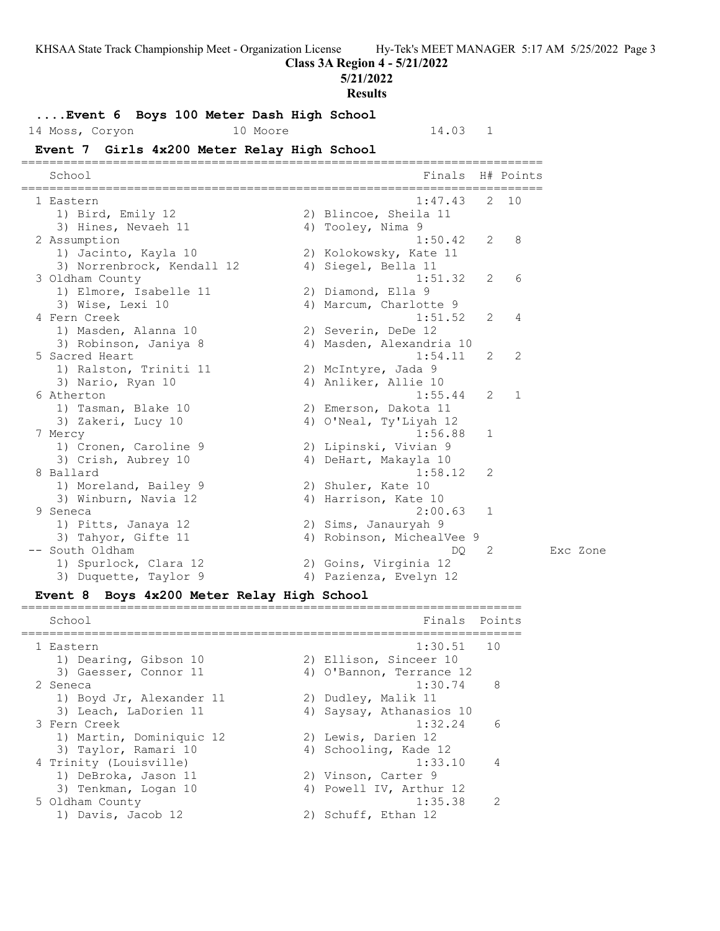**Class 3A Region 4 - 5/21/2022**

**5/21/2022**

#### **Results**

**....Event 6 Boys 100 Meter Dash High School**

14 Moss, Coryon 10 Moore 14.03 1

# **Event 7 Girls 4x200 Meter Relay High School**

========================================================================== School **Finals** H# Points ========================================================================== 1 Eastern 1:47.43 2 10 1) Bird, Emily 12 2) Blincoe, Sheila 11 3) Hines, Nevaeh 11 (4) Tooley, Nima 9 2 Assumption 1:50.42 2 8 1) Jacinto, Kayla 10 2) Kolokowsky, Kate 11 3) Norrenbrock, Kendall 12 (4) Siegel, Bella 11 3 Oldham County 1:51.32 2 6 1) Elmore, Isabelle 11 2) Diamond, Ella 9 3) Wise, Lexi 10 4) Marcum, Charlotte 9 4 Fern Creek 1:51.52 2 4 1) Masden, Alanna 10 2) Severin, DeDe 12 3) Robinson, Janiya 8 4) Masden, Alexandria 10 5 Sacred Heart 1:54.11 2 2 1) Ralston, Triniti 11 and 2) McIntyre, Jada 9 3) Nario, Ryan 10 10 10 4) Anliker, Allie 10 6 Atherton 1:55.44 2 1 1) Tasman, Blake 10 2) Emerson, Dakota 11 3) Zakeri, Lucy 10 4) O'Neal, Ty'Liyah 12 7 Mercy 1:56.88 1 1) Cronen, Caroline 9 2) Lipinski, Vivian 9 3) Crish, Aubrey 10 4) DeHart, Makayla 10 8 Ballard 1:58.12 2 1) Moreland, Bailey 9 2) Shuler, Kate 10 3) Winburn, Navia 12 (4) Harrison, Kate 10 9 Seneca 2:00.63 1 1) Pitts, Janaya 12 2) Sims, Janauryah 9 3) Tahyor, Gifte 11 4) Robinson, MichealVee 9 -- South Oldham DQ 2 Exc Zone 1) Spurlock, Clara 12 2) Goins, Virginia 12 3) Duquette, Taylor 9 4) Pazienza, Evelyn 12

**Event 8 Boys 4x200 Meter Relay High School**

======================================================================= School **Finals** Points ======================================================================= 1 Eastern 1:30.51 10 1) Dearing, Gibson 10 2) Ellison, Sinceer 10 3) Gaesser, Connor 11 4) O'Bannon, Terrance 12 2 Seneca 1:30.74 8 1) Boyd Jr, Alexander 11 2) Dudley, Malik 11 3) Leach, LaDorien 11 4) Saysay, Athanasios 10 3 Fern Creek 1:32.24 6 1) Martin, Dominiquic 12 (2) Lewis, Darien 12 3) Taylor, Ramari 10 4) Schooling, Kade 12 4 Trinity (Louisville) 1:33.10 4 1) DeBroka, Jason 11 2) Vinson, Carter 9 3) Tenkman, Logan 10 4) Powell IV, Arthur 12 5 Oldham County 1:35.38 2 1) Davis, Jacob 12 2) Schuff, Ethan 12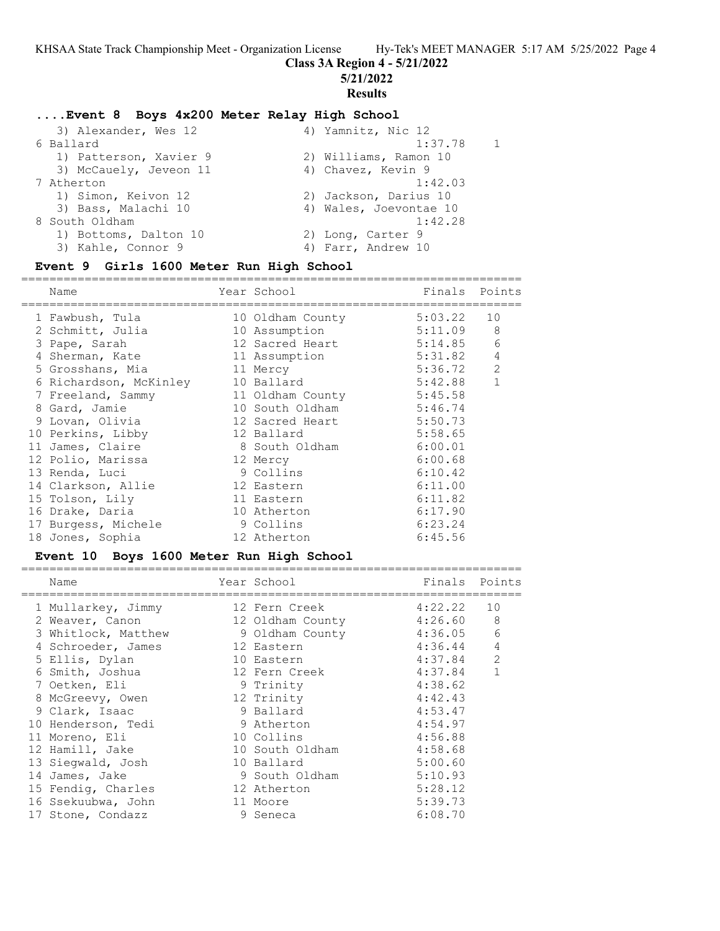### **Class 3A Region 4 - 5/21/2022**

**5/21/2022**

#### **Results**

### **....Event 8 Boys 4x200 Meter Relay High School**

| 3) Alexander, Wes 12   | 4) Yamnitz, Nic 12     |                |
|------------------------|------------------------|----------------|
| 6 Ballard              | 1:37.78                | $\overline{1}$ |
| 1) Patterson, Xavier 9 | 2) Williams, Ramon 10  |                |
| 3) McCauely, Jeveon 11 | 4) Chavez, Kevin 9     |                |
| 7 Atherton             | 1:42.03                |                |
| 1) Simon, Keivon 12    | 2) Jackson, Darius 10  |                |
| 3) Bass, Malachi 10    | 4) Wales, Joevontae 10 |                |
| 8 South Oldham         | 1:42.28                |                |
| 1) Bottoms, Dalton 10  | 2) Long, Carter 9      |                |
| 3) Kahle, Connor 9     | 4) Farr, Andrew 10     |                |
|                        |                        |                |

=======================================================================

#### **Event 9 Girls 1600 Meter Run High School**

Name Year School Finals Points ======================================================================= 1 Fawbush, Tula 10 Oldham County 5:03.22 10 2 Schmitt, Julia 10 Assumption 5:11.09 8 3 Pape, Sarah 12 Sacred Heart 5:14.85 6 4 Sherman, Kate 11 Assumption 5:31.82 4 5 Grosshans, Mia 11 Mercy 5:36.72 2 6 Richardson, McKinley 10 Ballard 5:42.88 1 7 Freeland, Sammy 11 Oldham County 5:45.58 8 Gard, Jamie 10 South Oldham 5:46.74 9 Lovan, Olivia 12 Sacred Heart 5:50.73 10 Perkins, Libby 12 Ballard 5:58.65 11 James, Claire 8 South Oldham 6:00.01 12 Polio, Marissa 12 Mercy 6:00.68 13 Renda, Luci 9 Collins 6:10.42 14 Clarkson, Allie 12 Eastern 6:11.00 15 Tolson, Lily 11 Eastern 6:11.82 16 Drake, Daria 10 Atherton 6:17.90 17 Burgess, Michele 9 Collins 6:23.24 18 Jones, Sophia 12 Atherton 6:45.56

### **Event 10 Boys 1600 Meter Run High School**

| Name                | Year School              | Finals Points |   |
|---------------------|--------------------------|---------------|---|
| 1 Mullarkey, Jimmy  | 12 Fern Creek 4:22.22 10 |               |   |
| 2 Weaver, Canon     | 12 Oldham County         | 4:26.60       | 8 |
| 3 Whitlock, Matthew | 9 Oldham County          | 4:36.05       | 6 |
| 4 Schroeder, James  | 12 Eastern               | 4:36.44       | 4 |
| 5 Ellis, Dylan      | 10 Eastern               | 4:37.84       | 2 |
| 6 Smith, Joshua     | 12 Fern Creek            | 4:37.84       | 1 |
| 7 Oetken, Eli       | 9 Trinity                | 4:38.62       |   |
| 8 McGreevy, Owen    | 12 Trinity               | 4:42.43       |   |
| 9 Clark, Isaac      | 9 Ballard                | 4:53.47       |   |
| 10 Henderson, Tedi  | 9 Atherton               | 4:54.97       |   |
| 11 Moreno, Eli      | 10 Collins               | 4:56.88       |   |
| 12 Hamill, Jake     | 10 South Oldham          | 4:58.68       |   |
| 13 Siegwald, Josh   | 10 Ballard               | 5:00.60       |   |
| 14 James, Jake      | 9 South Oldham           | 5:10.93       |   |
| 15 Fendig, Charles  | 12 Atherton              | 5:28.12       |   |
| 16 Ssekuubwa, John  | 11 Moore                 | 5:39.73       |   |
| 17 Stone, Condazz   | 9 Seneca                 | 6:08.70       |   |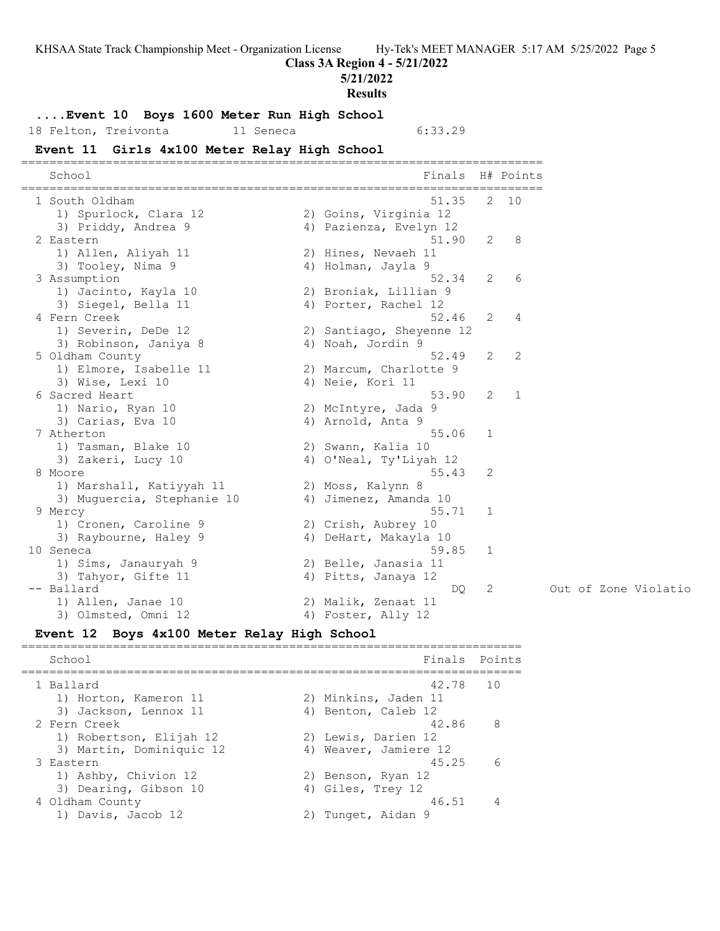**Class 3A Region 4 - 5/21/2022**

**5/21/2022**

**Results**

### **....Event 10 Boys 1600 Meter Run High School**

18 Felton, Treivonta 11 Seneca 6:33.29

### **Event 11 Girls 4x100 Meter Relay High School**

========================================================================== School **Finals** H# Points ========================================================================== 1 South Oldham 51.35 2 10 1) Spurlock, Clara 12 2) Goins, Virginia 12 3) Priddy, Andrea 9 4) Pazienza, Evelyn 12 2 Eastern 51.90 2 8 1) Allen, Aliyah 11 2) Hines, Nevaeh 11 3) Tooley, Nima 9 4) Holman, Jayla 9 3 Assumption 52.34 2 6 1) Jacinto, Kayla 10 2) Broniak, Lillian 9 3) Siegel, Bella 11 (4) Porter, Rachel 12 4 Fern Creek 52.46 2 4 1) Severin, DeDe 12 2) Santiago, Sheyenne 12 3) Robinson, Janiya 8 4) Noah, Jordin 9 5 Oldham County 52.49 2 2 1) Elmore, Isabelle 11 2) Marcum, Charlotte 9 3) Wise, Lexi 10 4) Neie, Kori 11 6 Sacred Heart 53.90 2 1 1) Nario, Ryan 10 2) McIntyre, Jada 9 3) Carias, Eva 10 (4) Arnold, Anta 9 7 Atherton 55.06 1 1) Tasman, Blake 10 2) Swann, Kalia 10 3) Zakeri, Lucy 10 4) O'Neal, Ty'Liyah 12 8 Moore 55.43 2 1) Marshall, Katiyyah 11  $\qquad \qquad$  2) Moss, Kalynn 8 3) Muguercia, Stephanie 10 4) Jimenez, Amanda 10 9 Mercy 55.71 1 1) Cronen, Caroline 9 2) Crish, Aubrey 10 3) Raybourne, Haley 9  $\hskip1cm \hskip1cm 4$ ) DeHart, Makayla 10 10 Seneca 59.85 1 1) Sims, Janauryah 9 2) Belle, Janasia 11 3) Tahyor, Gifte 11 4) Pitts, Janaya 12 -- Ballard DQ 2 Out of Zone Violatio 1) Allen, Janae 10 2) Malik, Zenaat 11 3) Olmsted, Omni 12 4) Foster, Ally 12

### **Event 12 Boys 4x100 Meter Relay High School**

======================================================================= School **Finals Points** ======================================================================= 1 Ballard 42.78 10 1) Horton, Kameron 11 and 2) Minkins, Jaden 11 3) Jackson, Lennox 11 (4) Benton, Caleb 12 2 Fern Creek 42.86 8 1) Robertson, Elijah 12 (2) Lewis, Darien 12 3) Martin, Dominiquic 12 4) Weaver, Jamiere 12 3 Eastern 45.25 6 1) Ashby, Chivion 12 2) Benson, Ryan 12 3) Dearing, Gibson 10 (4) Giles, Trey 12 4 Oldham County 46.51 4 1) Davis, Jacob 12 2) Tunget, Aidan 9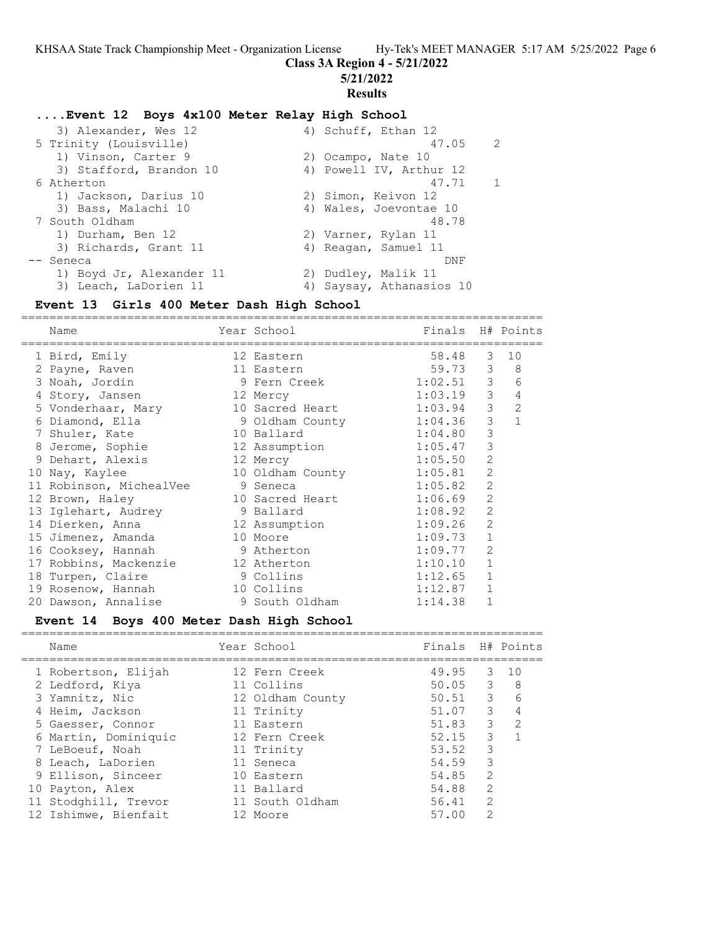**Class 3A Region 4 - 5/21/2022**

**5/21/2022**

# **Results**

# **....Event 12 Boys 4x100 Meter Relay High School**

| 3) Alexander, Wes 12     |       |                                                                                                                                                                                                                         |
|--------------------------|-------|-------------------------------------------------------------------------------------------------------------------------------------------------------------------------------------------------------------------------|
| 5 Trinity (Louisville)   | 47.05 | -2                                                                                                                                                                                                                      |
| 1) Vinson, Carter 9      |       |                                                                                                                                                                                                                         |
| 3) Stafford, Brandon 10  |       |                                                                                                                                                                                                                         |
| 6 Atherton               | 47.71 |                                                                                                                                                                                                                         |
| 1) Jackson, Darius 10    |       |                                                                                                                                                                                                                         |
| 3) Bass, Malachi 10      |       |                                                                                                                                                                                                                         |
| 7 South Oldham           | 48.78 |                                                                                                                                                                                                                         |
| 1) Durham, Ben 12        |       |                                                                                                                                                                                                                         |
| 3) Richards, Grant 11    |       |                                                                                                                                                                                                                         |
| -- Seneca                | DNF   |                                                                                                                                                                                                                         |
| 1) Boyd Jr, Alexander 11 |       |                                                                                                                                                                                                                         |
| 3) Leach, LaDorien 11    |       |                                                                                                                                                                                                                         |
|                          |       | 4) Schuff, Ethan 12<br>2) Ocampo, Nate 10<br>4) Powell IV, Arthur 12<br>2) Simon, Keivon 12<br>4) Wales, Joevontae 10<br>2) Varner, Rylan 11<br>4) Reagan, Samuel 11<br>2) Dudley, Malik 11<br>4) Saysay, Athanasios 10 |

# **Event 13 Girls 400 Meter Dash High School**

| Name                    | Year School      | Finals H# Points |                |                |
|-------------------------|------------------|------------------|----------------|----------------|
| 1 Bird, Emily           | 12 Eastern       | 58.48            | 3              | 10             |
| 2 Payne, Raven          | 11 Eastern       | 59.73            | 3              | 8              |
| 3 Noah, Jordin          | 9 Fern Creek     | 1:02.51          | 3              | 6              |
| 4 Story, Jansen         | 12 Mercy         | 1:03.19          | $\mathfrak{Z}$ | $\overline{4}$ |
| 5 Vonderhaar, Mary      | 10 Sacred Heart  | 1:03.94          | 3              | $\overline{2}$ |
| 6 Diamond, Ella         | 9 Oldham County  | 1:04.36          | 3              | $\mathbf{1}$   |
| 7 Shuler, Kate          | 10 Ballard       | 1:04.80          | 3              |                |
| 8 Jerome, Sophie        | 12 Assumption    | 1:05.47          | 3              |                |
| 9 Dehart, Alexis        | 12 Mercy         | 1:05.50          | $\overline{2}$ |                |
| 10 Nay, Kaylee          | 10 Oldham County | 1:05.81          | $\overline{2}$ |                |
| 11 Robinson, MichealVee | 9 Seneca         | 1:05.82          | $\overline{2}$ |                |
| 12 Brown, Haley         | 10 Sacred Heart  | 1:06.69          | $\overline{2}$ |                |
| 13 Iglehart, Audrey     | 9 Ballard        | 1:08.92          | $\overline{2}$ |                |
| 14 Dierken, Anna        | 12 Assumption    | 1:09.26          | $\overline{2}$ |                |
| 15 Jimenez, Amanda      | 10 Moore         | 1:09.73          | $\mathbf{1}$   |                |
| 16 Cooksey, Hannah      | 9 Atherton       | 1:09.77          | $\overline{2}$ |                |
| 17 Robbins, Mackenzie   | 12 Atherton      | 1:10.10          | $\mathbf{1}$   |                |
| 18 Turpen, Claire       | 9 Collins        | 1:12.65          | $\mathbf 1$    |                |
| 19 Rosenow, Hannah      | 10 Collins       | 1:12.87          | $\mathbf 1$    |                |
| 20 Dawson, Annalise     | 9 South Oldham   | 1:14.38          |                |                |
|                         |                  |                  |                |                |

# **Event 14 Boys 400 Meter Dash High School**

| Name                                                                                                                                                             | Year School                                                                                                             | Finals H# Points                                                                        |                                                                  |                     |
|------------------------------------------------------------------------------------------------------------------------------------------------------------------|-------------------------------------------------------------------------------------------------------------------------|-----------------------------------------------------------------------------------------|------------------------------------------------------------------|---------------------|
| 1 Robertson, Elijah<br>2 Ledford, Kiya<br>3 Yamnitz, Nic<br>4 Heim, Jackson<br>5 Gaesser, Connor<br>6 Martin, Dominiquic<br>7 LeBoeuf, Noah<br>8 Leach, LaDorien | 12 Fern Creek<br>11 Collins<br>12 Oldham County<br>11 Trinity<br>11 Eastern<br>12 Fern Creek<br>11 Trinity<br>11 Seneca | 49.95 3 10<br>50.05 3 8<br>$50.51$ 3 6<br>51.07 3<br>51.83 3<br>52.15<br>53.52<br>54.59 | 3<br>3<br>3                                                      | 4<br>$\overline{2}$ |
| 9 Ellison, Sinceer<br>10 Payton, Alex<br>11 Stodghill, Trevor<br>12 Ishimwe, Bienfait                                                                            | 10 Eastern<br>11 Ballard<br>11 South Oldham<br>12 Moore                                                                 | 54.85<br>54.88<br>56.41<br>57.00                                                        | $\mathcal{L}$<br>$\mathcal{L}$<br>$\mathcal{L}$<br>$\mathcal{L}$ |                     |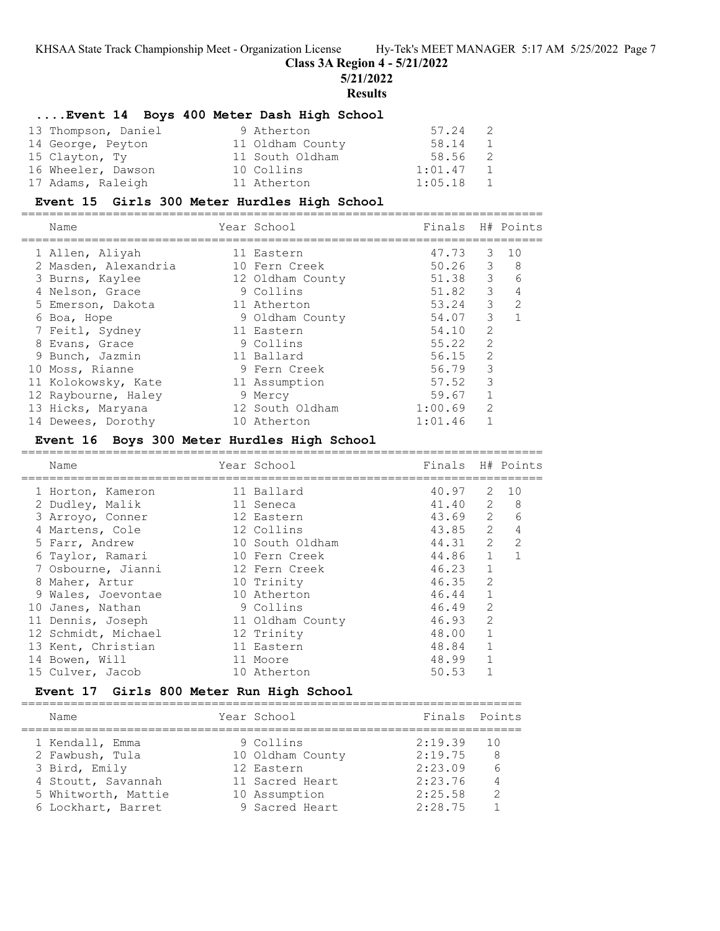**Class 3A Region 4 - 5/21/2022**

**5/21/2022**

**Results**

# **....Event 14 Boys 400 Meter Dash High School**

| 13 Thompson, Daniel | 9 Atherton       | 57.24<br>$\overline{2}$   |  |
|---------------------|------------------|---------------------------|--|
| 14 George, Peyton   | 11 Oldham County | 58.14<br>1                |  |
| 15 Clayton, Ty      | 11 South Oldham  | 58.56 2                   |  |
| 16 Wheeler, Dawson  | 10 Collins       | 1:01.47<br>$\overline{1}$ |  |
| 17 Adams, Raleigh   | 11 Atherton      | 1:05.18<br>$\overline{1}$ |  |

### **Event 15 Girls 300 Meter Hurdles High School**

|   | Name                 | Year School      | Finals    |                | H# Points     |
|---|----------------------|------------------|-----------|----------------|---------------|
|   | 1 Allen, Aliyah      | 11 Eastern       | 47.73     | 3              | 10            |
|   | 2 Masden, Alexandria | 10 Fern Creek    | $50.26$ 3 |                | 8             |
|   | 3 Burns, Kaylee      | 12 Oldham County | 51.38     | 3              | 6             |
|   | 4 Nelson, Grace      | 9 Collins        | 51.82     | 3              | 4             |
|   | 5 Emerson, Dakota    | 11 Atherton      | 53.24     | 3              | $\mathcal{L}$ |
|   | 6 Boa, Hope          | 9 Oldham County  | 54.07     | 3              |               |
|   | 7 Feitl, Sydney      | 11 Eastern       | 54.10     | $\overline{2}$ |               |
| 8 | Evans, Grace         | 9 Collins        | 55.22     | 2              |               |
|   | 9 Bunch, Jazmin      | 11 Ballard       | 56.15     | $\mathcal{L}$  |               |
|   | 10 Moss, Rianne      | 9 Fern Creek     | 56.79     | 3              |               |
|   | 11 Kolokowsky, Kate  | 11 Assumption    | 57.52     | 3              |               |
|   | 12 Raybourne, Haley  | 9 Mercy          | 59.67     |                |               |
|   | 13 Hicks, Maryana    | 12 South Oldham  | 1:00.69   | $\mathcal{L}$  |               |
|   | 14 Dewees, Dorothy   | 10 Atherton      | 1:01.46   |                |               |

### **Event 16 Boys 300 Meter Hurdles High School**

| Name                | Year School      | Finals H# Points  |               |                |
|---------------------|------------------|-------------------|---------------|----------------|
| 1 Horton, Kameron   | 11 Ballard       | 40.97             | 2             | 10             |
| 2 Dudley, Malik     | 11 Seneca        | 41.40 2           |               | 8              |
| 3 Arroyo, Conner    | 12 Eastern       | $43.69$ 2         |               | 6              |
| 4 Martens, Cole     | 12 Collins       | 43.85 2           |               | $\overline{4}$ |
| 5 Farr, Andrew      | 10 South Oldham  | $44.31 \t 2 \t 2$ |               |                |
| 6 Taylor, Ramari    | 10 Fern Creek    | 44.86 1           |               | $\overline{1}$ |
| 7 Osbourne, Jianni  | 12 Fern Creek    | 46.23             | $\mathbf{1}$  |                |
| 8 Maher, Artur      | 10 Trinity       | 46.35             | 2             |                |
| 9 Wales, Joevontae  | 10 Atherton      | 46.44             | $\mathbf{1}$  |                |
| 10 Janes, Nathan    | 9 Collins        | 46.49             | $\mathcal{L}$ |                |
| 11 Dennis, Joseph   | 11 Oldham County | 46.93             | $\mathcal{L}$ |                |
| 12 Schmidt, Michael | 12 Trinity       | 48.00             | $\mathbf{1}$  |                |
| 13 Kent, Christian  | 11 Eastern       | 48.84             | $\mathbf{1}$  |                |
| 14 Bowen, Will      | 11 Moore         | 48.99             | $\mathbf{1}$  |                |
| 15 Culver, Jacob    | 10 Atherton      | 50.53             |               |                |
|                     |                  |                   |               |                |

### **Event 17 Girls 800 Meter Run High School**

| Name                | Year School      | Finals Points |               |
|---------------------|------------------|---------------|---------------|
| 1 Kendall, Emma     | 9 Collins        | 2:19.39       | - 10          |
| 2 Fawbush, Tula     | 10 Oldham County | 2:19.75       | 8             |
| 3 Bird, Emily       | 12 Eastern       | 2:23.09       | 6             |
| 4 Stoutt, Savannah  | 11 Sacred Heart  | 2:23.76       |               |
| 5 Whitworth, Mattie | 10 Assumption    | 2:25.58       | $\mathcal{P}$ |
| 6 Lockhart, Barret  | 9 Sacred Heart   | 2:28.75       |               |
|                     |                  |               |               |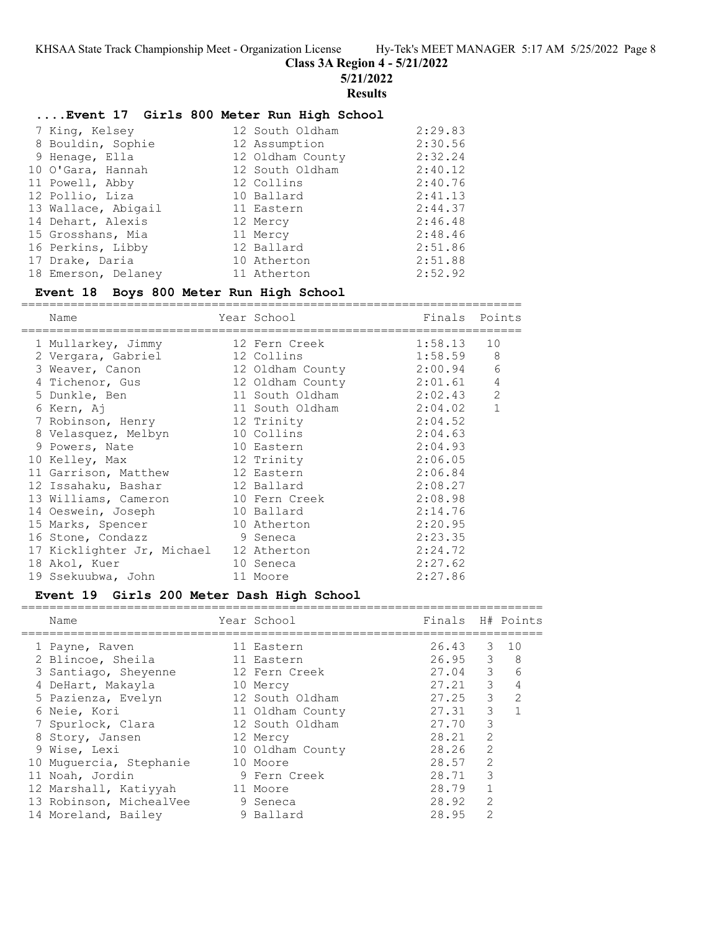**Class 3A Region 4 - 5/21/2022**

**5/21/2022**

**Results**

### **....Event 17 Girls 800 Meter Run High School**

| 7 King, Kelsey      | 12 South Oldham  | 2:29.83 |
|---------------------|------------------|---------|
| 8 Bouldin, Sophie   | 12 Assumption    | 2:30.56 |
| 9 Henage, Ella      | 12 Oldham County | 2:32.24 |
| 10 O'Gara, Hannah   | 12 South Oldham  | 2:40.12 |
| 11 Powell, Abby     | 12 Collins       | 2:40.76 |
| 12 Pollio, Liza     | 10 Ballard       | 2:41.13 |
| 13 Wallace, Abigail | 11 Eastern       | 2:44.37 |
| 14 Dehart, Alexis   | 12 Mercy         | 2:46.48 |
| 15 Grosshans, Mia   | 11 Mercy         | 2:48.46 |
| 16 Perkins, Libby   | 12 Ballard       | 2:51.86 |
| 17 Drake, Daria     | 10 Atherton      | 2:51.88 |
| 18 Emerson, Delaney | 11 Atherton      | 2:52.92 |

#### **Event 18 Boys 800 Meter Run High School**

======================================================================= Name **Name** Year School **Finals Points** ======================================================================= 1 Mullarkey, Jimmy 12 Fern Creek 1:58.13 10 2 Vergara, Gabriel 12 Collins 1:58.59 8 3 Weaver, Canon 12 Oldham County 2:00.94 6 4 Tichenor, Gus 12 Oldham County 2:01.61 4 5 Dunkle, Ben 11 South Oldham 2:02.43 2 6 Kern, Aj 11 South Oldham 2:04.02 1 7 Robinson, Henry 12 Trinity 2:04.52 8 Velasquez, Melbyn 10 Collins 2:04.63 9 Powers, Nate  $10$  Eastern  $2:04.93$  10 Kelley, Max 12 Trinity 2:06.05 11 Garrison, Matthew 12 Eastern 2:06.84 12 Issahaku, Bashar 12 Ballard 2:08.27 13 Williams, Cameron 10 Fern Creek 2:08.98 14 Oeswein, Joseph 10 Ballard 2:14.76 15 Marks, Spencer 10 Atherton 2:20.95 16 Stone, Condazz 9 Seneca 2:23.35 17 Kicklighter Jr, Michael 12 Atherton 2:24.72 18 Akol, Kuer 10 Seneca 2:27.62 19 Ssekuubwa, John 11 Moore 2:27.86

#### **Event 19 Girls 200 Meter Dash High School** ==========================================================================

| Name                    | Year School      | Finals H# Points |               |               |
|-------------------------|------------------|------------------|---------------|---------------|
| 1 Payne, Raven          | 11 Eastern       | 26.43            | 3             | 10            |
| 2 Blincoe, Sheila       | 11 Eastern       | $26.95 \t3 \t8$  |               |               |
| 3 Santiago, Sheyenne    | 12 Fern Creek    | $27.04$ 3        |               | 6             |
| 4 DeHart, Makayla       | 10 Mercy         | 27.21            | $\mathcal{E}$ | 4             |
| 5 Pazienza, Evelyn      | 12 South Oldham  | 27.25            | 3             | $\mathcal{L}$ |
| 6 Neie, Kori            | 11 Oldham County | 27.31            | 3             |               |
| 7 Spurlock, Clara       | 12 South Oldham  | 27.70            | 3             |               |
| 8 Story, Jansen         | 12 Mercy         | 28.21            | $\mathcal{L}$ |               |
| 9 Wise, Lexi            | 10 Oldham County | 28.26            | 2             |               |
| 10 Muquercia, Stephanie | 10 Moore         | 28.57            | $\mathcal{L}$ |               |
| 11 Noah, Jordin         | 9 Fern Creek     | 28.71            | 3             |               |
| 12 Marshall, Katiyyah   | 11 Moore         | 28.79            |               |               |
| 13 Robinson, MichealVee | 9 Seneca         | 28.92            | $\mathcal{L}$ |               |
| 14 Moreland, Bailey     | 9 Ballard        | 28.95            | $\mathcal{L}$ |               |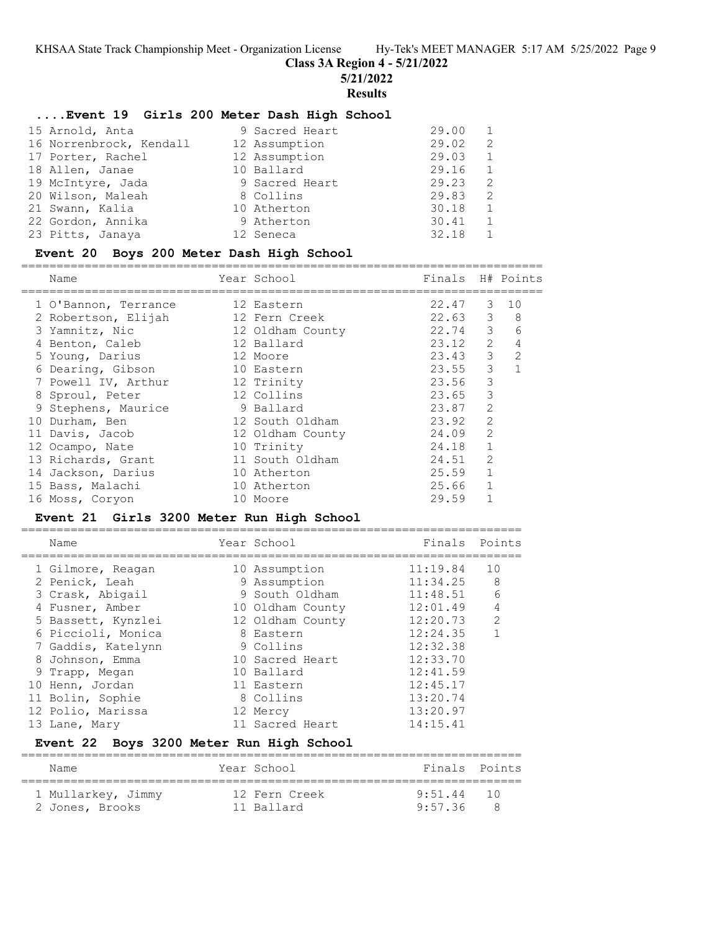**Class 3A Region 4 - 5/21/2022**

**5/21/2022**

**Results**

### **....Event 19 Girls 200 Meter Dash High School**

| 15 Arnold, Anta         | 9 Sacred Heart | 29.00 |                |
|-------------------------|----------------|-------|----------------|
| 16 Norrenbrock, Kendall | 12 Assumption  | 29.02 | $\overline{2}$ |
| 17 Porter, Rachel       | 12 Assumption  | 29.03 | 1              |
| 18 Allen, Janae         | 10 Ballard     | 29.16 | 1              |
| 19 McIntyre, Jada       | 9 Sacred Heart | 29.23 | -2             |
| 20 Wilson, Maleah       | 8 Collins      | 29.83 | -2             |
| 21 Swann, Kalia         | 10 Atherton    | 30.18 | 1              |
| 22 Gordon, Annika       | 9 Atherton     | 30.41 | 1              |
| 23 Pitts, Janaya        | 12 Seneca      | 32.18 |                |

### **Event 20 Boys 200 Meter Dash High School**

========================================================================== Year School Finals H# Points ========================================================================== 1 O'Bannon, Terrance 12 Eastern 22.47 3 10 2 Robertson, Elijah 12 Fern Creek 22.63 3 8 3 Yamnitz, Nic 12 Oldham County 22.74 3 6 4 Benton, Caleb 12 Ballard 23.12 2 4 5 Young, Darius 12 Moore 23.43 3 2 6 Dearing, Gibson 10 Eastern 23.55 3 1 7 Powell IV, Arthur 12 Trinity 23.56 3 8 Sproul, Peter 12 Collins 23.65 3 9 Stephens, Maurice 9 Ballard 23.87 2 10 Durham, Ben 12 South Oldham 23.92 2 11 Davis, Jacob 12 Oldham County 24.09 2 12 Ocampo, Nate 10 Trinity 24.18 1 13 Richards, Grant 11 South Oldham 24.51 2 14 Jackson, Darius 10 Atherton 25.59 1 15 Bass, Malachi 10 Atherton 25.66 1 16 Moss, Coryon 10 Moore 29.59 1

### **Event 21 Girls 3200 Meter Run High School**

| Name               | Year School      | Finals Points |               |
|--------------------|------------------|---------------|---------------|
| 1 Gilmore, Reagan  | 10 Assumption    | 11:19.84      | 10            |
| 2 Penick, Leah     | 9 Assumption     | 11:34.25      | 8             |
| 3 Crask, Abigail   | 9 South Oldham   | 11:48.51      | 6             |
| 4 Fusner, Amber    | 10 Oldham County | 12:01.49      | 4             |
| 5 Bassett, Kynzlei | 12 Oldham County | 12:20.73      | $\mathcal{L}$ |
| 6 Piccioli, Monica | 8 Eastern        | 12:24.35      |               |
| 7 Gaddis, Katelynn | 9 Collins        | 12:32.38      |               |
| 8 Johnson, Emma    | 10 Sacred Heart  | 12:33.70      |               |
| 9 Trapp, Megan     | 10 Ballard       | 12:41.59      |               |
| 10 Henn, Jordan    | 11 Eastern       | 12:45.17      |               |
| 11 Bolin, Sophie   | 8 Collins        | 13:20.74      |               |
| 12 Polio, Marissa  | 12 Mercy         | 13:20.97      |               |
| 13 Lane, Mary      | 11 Sacred Heart  | 14:15.41      |               |

### **Event 22 Boys 3200 Meter Run High School**

| Name               | Year School   | Finals Points |   |
|--------------------|---------------|---------------|---|
| 1 Mullarkey, Jimmy | 12 Fern Creek | 9.51 44 10    |   |
| 2 Jones, Brooks    | 11 Ballard    | 9:57.36       | 8 |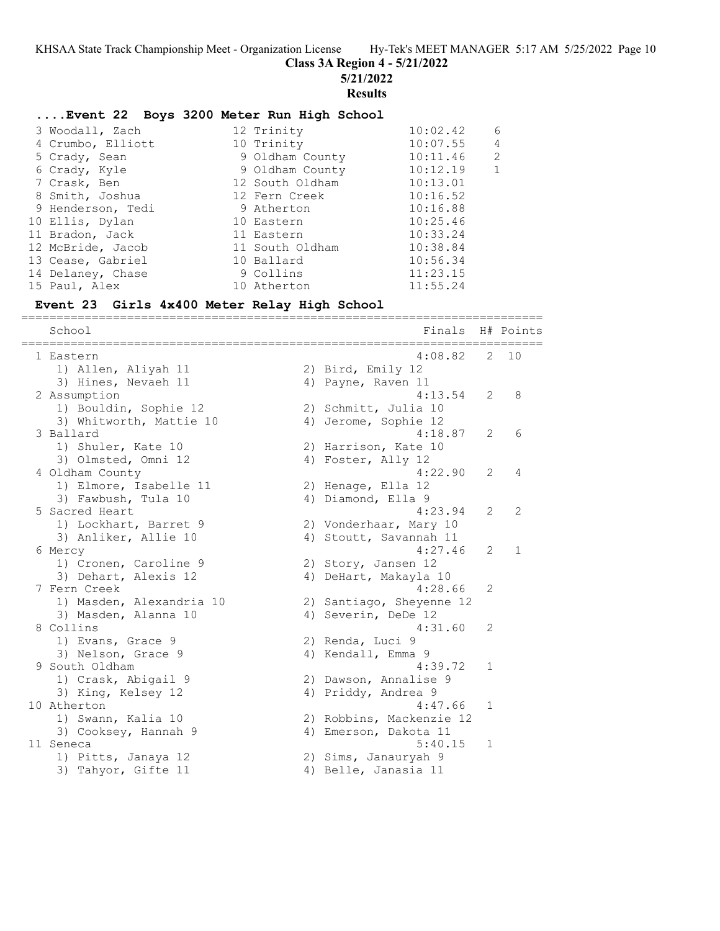**Class 3A Region 4 - 5/21/2022**

**5/21/2022**

#### **Results**

### **....Event 22 Boys 3200 Meter Run High School**

|  | 3 Woodall, Zach   | 12 Trinity      | 10:02.42 | 6              |
|--|-------------------|-----------------|----------|----------------|
|  | 4 Crumbo, Elliott | 10 Trinity      | 10:07.55 | $\overline{4}$ |
|  | 5 Crady, Sean     | 9 Oldham County | 10:11.46 | $\overline{2}$ |
|  | 6 Crady, Kyle     | 9 Oldham County | 10:12.19 | 1              |
|  | 7 Crask, Ben      | 12 South Oldham | 10:13.01 |                |
|  | 8 Smith, Joshua   | 12 Fern Creek   | 10:16.52 |                |
|  | 9 Henderson, Tedi | 9 Atherton      | 10:16.88 |                |
|  | 10 Ellis, Dylan   | 10 Eastern      | 10:25.46 |                |
|  | 11 Bradon, Jack   | 11 Eastern      | 10:33.24 |                |
|  | 12 McBride, Jacob | 11 South Oldham | 10:38.84 |                |
|  | 13 Cease, Gabriel | 10 Ballard      | 10:56.34 |                |
|  | 14 Delaney, Chase | 9 Collins       | 11:23.15 |                |
|  | 15 Paul, Alex     | 10 Atherton     | 11:55.24 |                |
|  |                   |                 |          |                |

#### **Event 23 Girls 4x400 Meter Relay High School**

School **Finals** H# Points ========================================================================== 1 Eastern 4:08.82 2 10 1) Allen, Aliyah 11 2) Bird, Emily 12 3) Hines, Nevaeh 11 (4) Payne, Raven 11 2 Assumption 4:13.54 2 8 1) Bouldin, Sophie 12 2) Schmitt, Julia 10 3) Whitworth, Mattie 10 4) Jerome, Sophie 12 3 Ballard 4:18.87 2 6 1) Shuler, Kate 10 2) Harrison, Kate 10 3) Olmsted, Omni 12 4) Foster, Ally 12 4 Oldham County 4:22.90 2 4 1) Elmore, Isabelle 11 2) Henage, Ella 12 3) Fawbush, Tula 10 4) Diamond, Ella 9 5 Sacred Heart 4:23.94 2 2 1) Lockhart, Barret 9 2) Vonderhaar, Mary 10 3) Anliker, Allie 10 4) Stoutt, Savannah 11 6 Mercy 4:27.46 2 1 1) Cronen, Caroline 9 2) Story, Jansen 12 3) Dehart, Alexis 12 4) DeHart, Makayla 10 7 Fern Creek 4:28.66 2 1) Masden, Alexandria 10 2) Santiago, Sheyenne 12 3) Masden, Alanna 10 (4) Severin, DeDe 12 8 Collins 4:31.60 2 1) Evans, Grace 9 2) Renda, Luci 9 3) Nelson, Grace 9 4) Kendall, Emma 9 9 South Oldham 4:39.72 1 1) Crask, Abigail 9 2) Dawson, Annalise 9 3) King, Kelsey 12 (4) Priddy, Andrea 9 10 Atherton 4:47.66 1 1) Swann, Kalia 10 2) Robbins, Mackenzie 12 3) Cooksey, Hannah 9  $\hskip1cm \hskip1cm 4$ ) Emerson, Dakota 11 11 Seneca 5:40.15 1 1) Pitts, Janaya 12 2) Sims, Janauryah 9 3) Tahyor, Gifte 11 (4) Belle, Janasia 11

==========================================================================